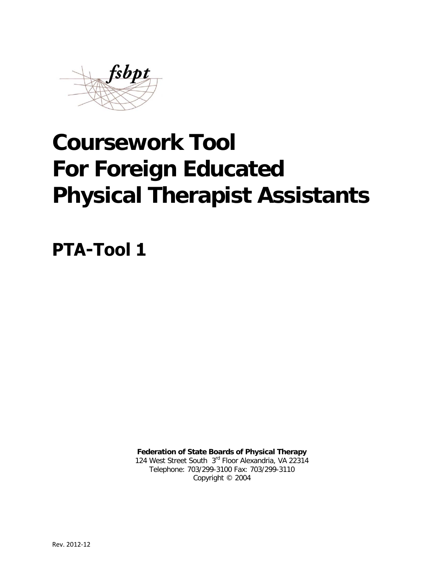

# **Coursework Tool For Foreign Educated Physical Therapist Assistants**

**PTA-Tool 1**

**Federation of State Boards of Physical Therapy** 124 West Street South 3rd Floor Alexandria, VA 22314 Telephone: 703/299-3100 Fax: 703/299-3110 Copyright © 2004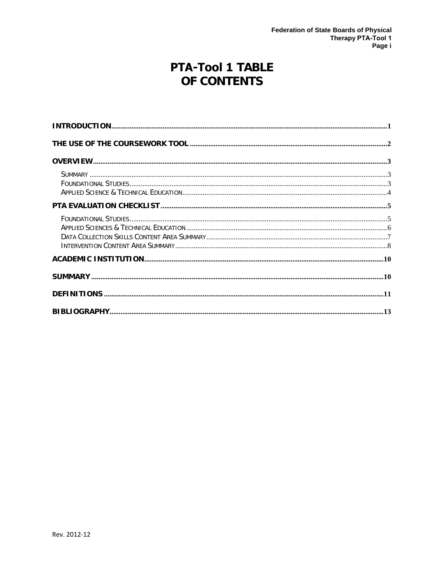# **PTA-Tool 1 TABLE** OF CONTENTS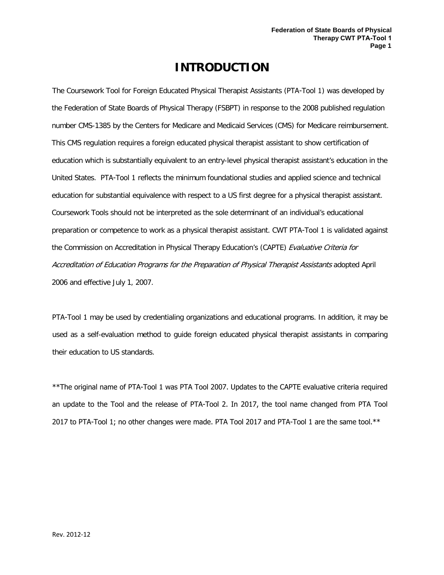## **INTRODUCTION**

<span id="page-2-0"></span>The Coursework Tool for Foreign Educated Physical Therapist Assistants (PTA-Tool 1) was developed by the Federation of State Boards of Physical Therapy (FSBPT) in response to the 2008 published regulation number CMS-1385 by the Centers for Medicare and Medicaid Services (CMS) for Medicare reimbursement. This CMS regulation requires a foreign educated physical therapist assistant to show certification of education which is substantially equivalent to an entry-level physical therapist assistant's education in the United States. PTA-Tool 1 reflects the minimum foundational studies and applied science and technical education for substantial equivalence with respect to a US first degree for a physical therapist assistant. Coursework Tools should not be interpreted as the sole determinant of an individual's educational preparation or competence to work as a physical therapist assistant. CWT PTA-Tool 1 is validated against the Commission on Accreditation in Physical Therapy Education's (CAPTE) Evaluative Criteria for Accreditation of Education Programs for the Preparation of Physical Therapist Assistants adopted April 2006 and effective July 1, 2007.

PTA-Tool 1 may be used by credentialing organizations and educational programs. In addition, it may be used as a self-evaluation method to guide foreign educated physical therapist assistants in comparing their education to US standards.

\*\*The original name of PTA-Tool 1 was PTA Tool 2007. Updates to the CAPTE evaluative criteria required an update to the Tool and the release of PTA-Tool 2. In 2017, the tool name changed from PTA Tool 2017 to PTA-Tool 1; no other changes were made. PTA Tool 2017 and PTA-Tool 1 are the same tool.\*\*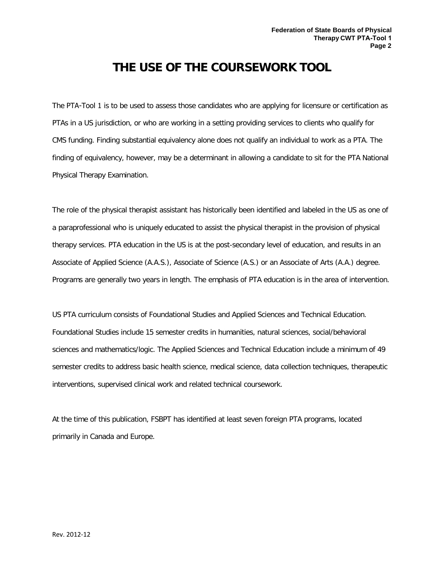## **THE USE OF THE COURSEWORK TOOL**

<span id="page-3-0"></span>The PTA-Tool 1 is to be used to assess those candidates who are applying for licensure or certification as PTAs in a US jurisdiction, or who are working in a setting providing services to clients who qualify for CMS funding. Finding substantial equivalency alone does not qualify an individual to work as a PTA. The finding of equivalency, however, may be a determinant in allowing a candidate to sit for the PTA National Physical Therapy Examination.

The role of the physical therapist assistant has historically been identified and labeled in the US as one of a paraprofessional who is uniquely educated to assist the physical therapist in the provision of physical therapy services. PTA education in the US is at the post-secondary level of education, and results in an Associate of Applied Science (A.A.S.), Associate of Science (A.S.) or an Associate of Arts (A.A.) degree. Programs are generally two years in length. The emphasis of PTA education is in the area of intervention.

US PTA curriculum consists of Foundational Studies and Applied Sciences and Technical Education. Foundational Studies include 15 semester credits in humanities, natural sciences, social/behavioral sciences and mathematics/logic. The Applied Sciences and Technical Education include a minimum of 49 semester credits to address basic health science, medical science, data collection techniques, therapeutic interventions, supervised clinical work and related technical coursework.

At the time of this publication, FSBPT has identified at least seven foreign PTA programs, located primarily in Canada and Europe.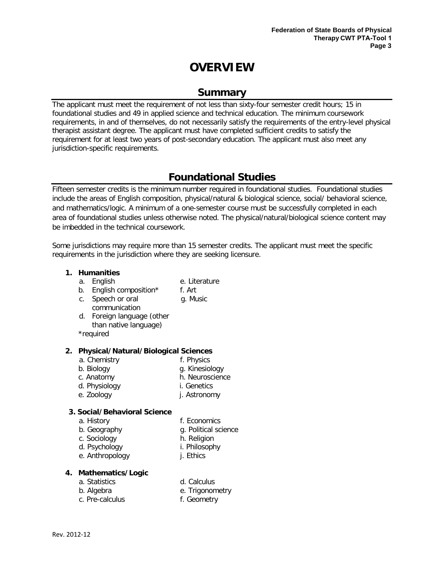# **OVERVIEW**

### **Summary**

<span id="page-4-1"></span><span id="page-4-0"></span>The applicant must meet the requirement of not less than sixty-four semester credit hours; 15 in foundational studies and 49 in applied science and technical education. The minimum coursework requirements, in and of themselves, do not necessarily satisfy the requirements of the entry-level physical therapist assistant degree. The applicant must have completed sufficient credits to satisfy the requirement for at least two years of post-secondary education. The applicant must also meet any jurisdiction-specific requirements.

### **Foundational Studies**

<span id="page-4-2"></span>Fifteen semester credits is the minimum number required in foundational studies. Foundational studies include the areas of English composition, physical/natural & biological science, social/ behavioral science, and mathematics/logic. A minimum of a one-semester course must be successfully completed in each area of foundational studies unless otherwise noted. The physical/natural/biological science content may be imbedded in the technical coursework.

Some jurisdictions may require more than 15 semester credits. The applicant must meet the specific requirements in the jurisdiction where they are seeking licensure.

#### **1. Humanities**

- a. English e. Literature
- b. English composition\* f. Art
	-
- c. Speech or oral g. Music
- communication d. Foreign language (other than native language)

\*required

#### **2. Physical/Natural/Biological Sciences**

- a. Chemistry f. Physics
- b. Biology g. Kinesiology
	-
- c. Anatomy h. Neuroscience
- d. Physiology i. Genetics
- e. Zoology j. Astronomy

#### **3. Social/Behavioral Science**

- 
- a. History f. Economics
- b. Geography g. Political science
- c. Sociology h. Religion
- d. Psychology i. Philosophy
- e. Anthropology **j.** Ethics
	-

#### **4. Mathematics/Logic**

- a. Statistics d. Calculus
	-
- b. Algebra e. Trigonometry
- c. Pre-calculus f. Geometry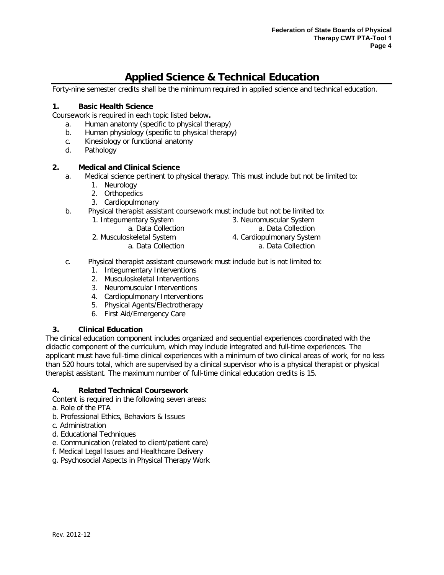### **Applied Science & Technical Education**

<span id="page-5-0"></span>Forty-nine semester credits shall be the minimum required in applied science and technical education.

#### **1. Basic Health Science**

Coursework is required in each topic listed below**.**

- a. Human anatomy (specific to physical therapy)
- b. Human physiology (specific to physical therapy)
- c. Kinesiology or functional anatomy
- d. Pathology

#### **2. Medical and Clinical Science**

- a. Medical science pertinent to physical therapy. This must include but not be limited to:
	- 1. Neurology
	- 2. Orthopedics
	- 3. Cardiopulmonary
- b. Physical therapist assistant coursework must include but not be limited to:
	- 1. Integumentary System
		- a. Data Collection
	- 2. Musculoskeletal System
		- a. Data Collection
- 3. Neuromuscular System a. Data Collection
- 4. Cardiopulmonary System
	- a. Data Collection
- c. Physical therapist assistant coursework must include but is not limited to:
	- 1. Integumentary Interventions
	- 2. Musculoskeletal Interventions
	- 3. Neuromuscular Interventions
	- 4. Cardiopulmonary Interventions
	- 5. Physical Agents/Electrotherapy
	- 6. First Aid/Emergency Care

#### **3. Clinical Education**

The clinical education component includes organized and sequential experiences coordinated with the didactic component of the curriculum, which may include integrated and full-time experiences. The applicant must have full-time clinical experiences with a minimum of two clinical areas of work, for no less than 520 hours total, which are supervised by a clinical supervisor who is a physical therapist or physical therapist assistant. The maximum number of full-time clinical education credits is 15.

#### **4. Related Technical Coursework**

Content is required in the following seven areas:

- a. Role of the PTA
- b. Professional Ethics, Behaviors & Issues
- c. Administration
- d. Educational Techniques
- e. Communication (related to client/patient care)
- f. Medical Legal Issues and Healthcare Delivery
- g. Psychosocial Aspects in Physical Therapy Work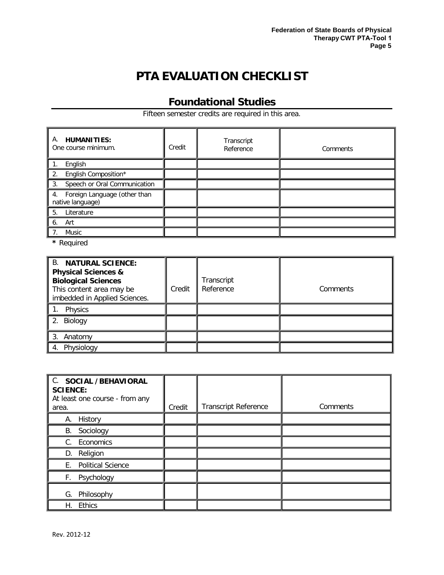# **PTA EVALUATION CHECKLIST**

### **Foundational Studies**

Fifteen semester credits are required in this area.

<span id="page-6-1"></span><span id="page-6-0"></span>

| <b>HUMANITIES:</b><br>Α.<br>One course minimum.     | Credit | Transcript<br>Reference | Comments |
|-----------------------------------------------------|--------|-------------------------|----------|
| English                                             |        |                         |          |
| 2. English Composition*                             |        |                         |          |
| 3. Speech or Oral Communication                     |        |                         |          |
| 4. Foreign Language (other than<br>native language) |        |                         |          |
| 5.<br>Literature                                    |        |                         |          |
| Art<br>6.                                           |        |                         |          |
| Music<br>7.                                         |        |                         |          |

**\*** Required

| <b>B. NATURAL SCIENCE:</b><br><b>Physical Sciences &amp;</b><br><b>Biological Sciences</b><br>This content area may be<br>imbedded in Applied Sciences. | Credit | Transcript<br>Reference | Comments |
|---------------------------------------------------------------------------------------------------------------------------------------------------------|--------|-------------------------|----------|
| Physics                                                                                                                                                 |        |                         |          |
| 2. Biology                                                                                                                                              |        |                         |          |
| 3. Anatomy                                                                                                                                              |        |                         |          |
| Physiology                                                                                                                                              |        |                         |          |

| C. SOCIAL /BEHAVIORAL<br><b>SCIENCE:</b><br>At least one course - from any<br>area. | Credit | <b>Transcript Reference</b> | Comments |
|-------------------------------------------------------------------------------------|--------|-----------------------------|----------|
| А.<br>History                                                                       |        |                             |          |
| Sociology<br>В.                                                                     |        |                             |          |
| Economics<br>C.                                                                     |        |                             |          |
| Religion<br>D.                                                                      |        |                             |          |
| <b>Political Science</b><br>E.                                                      |        |                             |          |
| F.<br>Psychology                                                                    |        |                             |          |
| Philosophy<br>G.                                                                    |        |                             |          |
| Ethics<br>Н.                                                                        |        |                             |          |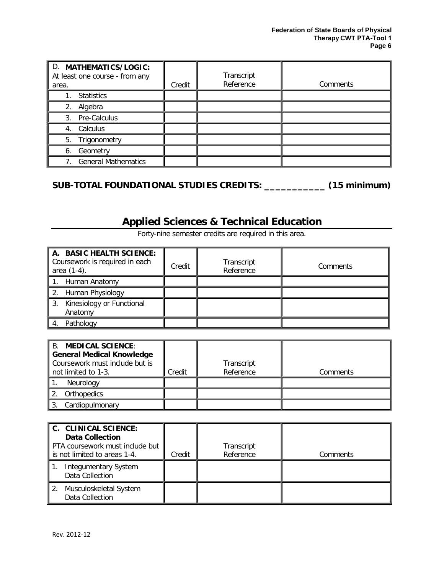| D. MATHEMATICS/LOGIC:<br>At least one course - from any<br>area. | Credit | Transcript<br>Reference | Comments |
|------------------------------------------------------------------|--------|-------------------------|----------|
| <b>Statistics</b>                                                |        |                         |          |
| Algebra<br>2.                                                    |        |                         |          |
| Pre-Calculus<br>3.                                               |        |                         |          |
| Calculus<br>4.                                                   |        |                         |          |
| 5. Trigonometry                                                  |        |                         |          |
| Geometry<br>6.                                                   |        |                         |          |
| <b>General Mathematics</b>                                       |        |                         |          |

### **SUB-TOTAL FOUNDATIONAL STUDIES CREDITS: \_\_\_\_\_\_\_\_\_\_\_ (15 minimum)**

# **Applied Sciences & Technical Education**

<span id="page-7-0"></span>

| A. BASIC HEALTH SCIENCE:<br>Coursework is required in each<br>area (1-4). | Credit | Transcript<br>Reference | Comments |
|---------------------------------------------------------------------------|--------|-------------------------|----------|
| 1. Human Anatomy                                                          |        |                         |          |
| 2. Human Physiology                                                       |        |                         |          |
| 3. Kinesiology or Functional<br>Anatomy                                   |        |                         |          |
| Pathology                                                                 |        |                         |          |

Forty-nine semester credits are required in this area.

| <b>B. MEDICAL SCIENCE:</b><br><b>General Medical Knowledge</b><br>Coursework must include but is |        | Transcript |          |
|--------------------------------------------------------------------------------------------------|--------|------------|----------|
| not limited to 1-3.                                                                              | Credit | Reference  | Comments |
| Neurology                                                                                        |        |            |          |
| Orthopedics                                                                                      |        |            |          |
| Cardiopulmonary                                                                                  |        |            |          |

| C. CLINICAL SCIENCE:<br><b>Data Collection</b><br>PTA coursework must include but<br>is not limited to areas 1-4. | Credit | Transcript<br>Reference | Comments |
|-------------------------------------------------------------------------------------------------------------------|--------|-------------------------|----------|
| <b>Integumentary System</b><br>Data Collection                                                                    |        |                         |          |
| Musculoskeletal System<br>2.<br>Data Collection                                                                   |        |                         |          |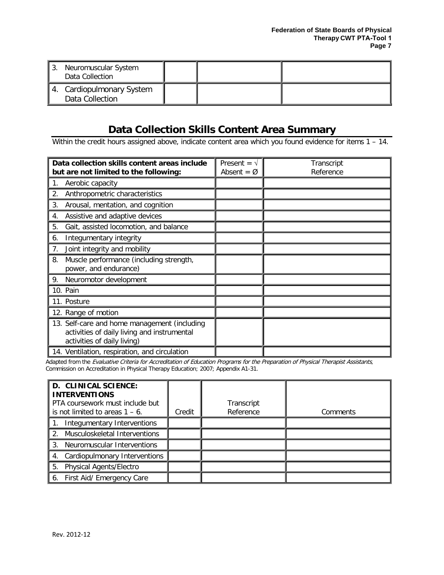| Neuromuscular System<br>່ 3.<br>Data Collection |  |  |
|-------------------------------------------------|--|--|
| 4. Cardiopulmonary System<br>Data Collection    |  |  |

### **Data Collection Skills Content Area Summary**

<span id="page-8-0"></span>Within the credit hours assigned above, indicate content area which you found evidence for items 1 – 14.

| Data collection skills content areas include<br>but are not limited to the following:                                      | Present = $\sqrt{ }$<br>Absent = $\varnothing$ | Transcript<br>Reference |
|----------------------------------------------------------------------------------------------------------------------------|------------------------------------------------|-------------------------|
| 1.<br>Aerobic capacity                                                                                                     |                                                |                         |
| 2.<br>Anthropometric characteristics                                                                                       |                                                |                         |
| 3.<br>Arousal, mentation, and cognition                                                                                    |                                                |                         |
| Assistive and adaptive devices<br>4.                                                                                       |                                                |                         |
| 5.<br>Gait, assisted locomotion, and balance                                                                               |                                                |                         |
| Integumentary integrity<br>6.                                                                                              |                                                |                         |
| 7.<br>Joint integrity and mobility                                                                                         |                                                |                         |
| 8.<br>Muscle performance (including strength,<br>power, and endurance)                                                     |                                                |                         |
| 9.<br>Neuromotor development                                                                                               |                                                |                         |
| 10. Pain                                                                                                                   |                                                |                         |
| 11. Posture                                                                                                                |                                                |                         |
| 12. Range of motion                                                                                                        |                                                |                         |
| 13. Self-care and home management (including<br>activities of daily living and instrumental<br>activities of daily living) |                                                |                         |
| 14. Ventilation, respiration, and circulation                                                                              |                                                |                         |

Adapted from the Evaluative Criteria for Accreditation of Education Programs for the Preparation of Physical Therapist Assistants, Commission on Accreditation in Physical Therapy Education; 2007; Appendix A1-31.

| D. CLINICAL SCIENCE:<br><b>INTERVENTIONS</b><br>PTA coursework must include but<br>is not limited to areas $1 - 6$ . | Credit | Transcript<br>Reference | Comments |
|----------------------------------------------------------------------------------------------------------------------|--------|-------------------------|----------|
| Integumentary Interventions                                                                                          |        |                         |          |
| Musculoskeletal Interventions<br>2.                                                                                  |        |                         |          |
| 3. Neuromuscular Interventions                                                                                       |        |                         |          |
| 4. Cardiopulmonary Interventions                                                                                     |        |                         |          |
| <b>Physical Agents/Electro</b><br>5.                                                                                 |        |                         |          |
| 6. First Aid/ Emergency Care                                                                                         |        |                         |          |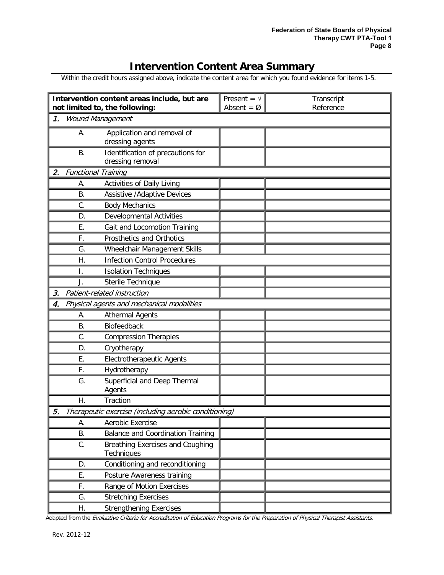### **Intervention Content Area Summary**

<span id="page-9-0"></span>Within the credit hours assigned above, indicate the content area for which you found evidence for items 1-5.

|    |           | Intervention content areas include, but are<br>not limited to, the following: | Present = $\sqrt{ }$<br>Absent = $\varnothing$ | Transcript<br>Reference |
|----|-----------|-------------------------------------------------------------------------------|------------------------------------------------|-------------------------|
| 1. |           | <b>Wound Management</b>                                                       |                                                |                         |
|    | А.        | Application and removal of<br>dressing agents                                 |                                                |                         |
|    | <b>B.</b> | Identification of precautions for<br>dressing removal                         |                                                |                         |
| 2. |           | <b>Functional Training</b>                                                    |                                                |                         |
|    | А.        | Activities of Daily Living                                                    |                                                |                         |
|    | Β.        | <b>Assistive / Adaptive Devices</b>                                           |                                                |                         |
|    | C.        | <b>Body Mechanics</b>                                                         |                                                |                         |
|    | D.        | <b>Developmental Activities</b>                                               |                                                |                         |
|    | Ε.        | Gait and Locomotion Training                                                  |                                                |                         |
|    | F.        | Prosthetics and Orthotics                                                     |                                                |                         |
|    | G.        | Wheelchair Management Skills                                                  |                                                |                         |
|    | Η.        | <b>Infection Control Procedures</b>                                           |                                                |                         |
|    | I.        | <b>Isolation Techniques</b>                                                   |                                                |                         |
|    | J.        | Sterile Technique                                                             |                                                |                         |
| 3. |           | Patient-related instruction                                                   |                                                |                         |
| 4. |           | Physical agents and mechanical modalities                                     |                                                |                         |
|    | А.        | <b>Athermal Agents</b>                                                        |                                                |                         |
|    | Β.        | Biofeedback                                                                   |                                                |                         |
|    | C.        | <b>Compression Therapies</b>                                                  |                                                |                         |
|    | D.        | Cryotherapy                                                                   |                                                |                         |
|    | Ε.        | <b>Electrotherapeutic Agents</b>                                              |                                                |                         |
|    | F.        | Hydrotherapy                                                                  |                                                |                         |
|    | G.        | Superficial and Deep Thermal<br>Agents                                        |                                                |                         |
|    | Η.        | Traction                                                                      |                                                |                         |
| 5. |           | Therapeutic exercise (including aerobic conditioning)                         |                                                |                         |
|    | А.        | Aerobic Exercise                                                              |                                                |                         |
|    | В.        | <b>Balance and Coordination Training</b>                                      |                                                |                         |
|    | C.        | Breathing Exercises and Coughing<br>Techniques                                |                                                |                         |
|    | D.        | Conditioning and reconditioning                                               |                                                |                         |
|    | Е.        | Posture Awareness training                                                    |                                                |                         |
|    | F.        | Range of Motion Exercises                                                     |                                                |                         |
|    | G.        | <b>Stretching Exercises</b>                                                   |                                                |                         |
|    | Η.        | <b>Strengthening Exercises</b>                                                |                                                |                         |

Adapted from the Evaluative Criteria for Accreditation of Education Programs for the Preparation of Physical Therapist Assistants.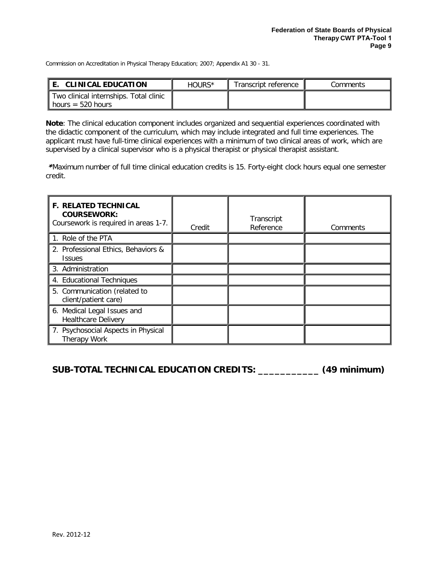Commission on Accreditation in Physical Therapy Education; 2007; Appendix A1 30 - 31.

| <b>CLINICAL EDUCATION</b>                                     | HOURS* | Transcript reference | Comments |
|---------------------------------------------------------------|--------|----------------------|----------|
| Two clinical internships. Total clinic<br>1 hours = 520 hours |        |                      |          |

**Note**: The clinical education component includes organized and sequential experiences coordinated with the didactic component of the curriculum, which may include integrated and full time experiences. The applicant must have full-time clinical experiences with a minimum of two clinical areas of work, which are supervised by a clinical supervisor who is a physical therapist or physical therapist assistant.

 \*Maximum number of full time clinical education credits is 15. Forty-eight clock hours equal one semester credit.

| <b>F. RELATED TECHNICAL</b><br><b>COURSEWORK:</b><br>Coursework is required in areas 1-7. | Credit | Transcript<br>Reference | Comments |
|-------------------------------------------------------------------------------------------|--------|-------------------------|----------|
| 1. Role of the PTA                                                                        |        |                         |          |
| 2. Professional Ethics, Behaviors &<br><b>Issues</b>                                      |        |                         |          |
| 3. Administration                                                                         |        |                         |          |
| 4. Educational Techniques                                                                 |        |                         |          |
| 5. Communication (related to<br>client/patient care)                                      |        |                         |          |
| 6. Medical Legal Issues and<br><b>Healthcare Delivery</b>                                 |        |                         |          |
| 7. Psychosocial Aspects in Physical<br>Therapy Work                                       |        |                         |          |

**SUB-TOTAL TECHNICAL EDUCATION CREDITS: \_\_\_\_\_\_\_\_\_\_\_ (49 minimum)**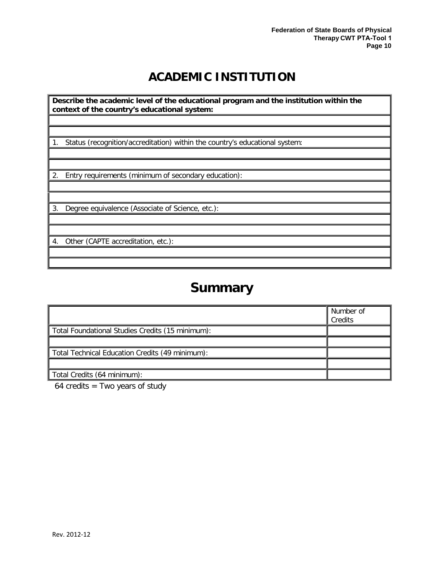# **ACADEMIC INSTITUTION**

<span id="page-11-0"></span>**Describe the academic level of the educational program and the institution within the context of the country's educational system:**

1. Status (recognition/accreditation) within the country's educational system:

2. Entry requirements (minimum of secondary education):

3. Degree equivalence (Associate of Science, etc.):

4. Other (CAPTE accreditation, etc.):

# **Summary**

<span id="page-11-1"></span>

|                                                  | Number of<br>Credits |
|--------------------------------------------------|----------------------|
| Total Foundational Studies Credits (15 minimum): |                      |
|                                                  |                      |
| Total Technical Education Credits (49 minimum):  |                      |
|                                                  |                      |
| Total Credits (64 minimum):                      |                      |

 $64$  credits = Two years of study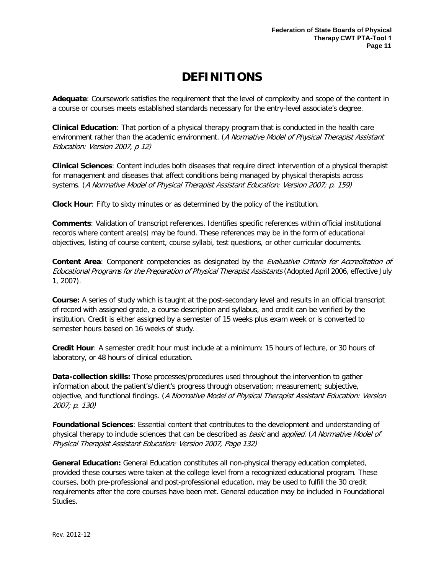# **DEFINITIONS**

<span id="page-12-0"></span>**Adequate**: Coursework satisfies the requirement that the level of complexity and scope of the content in a course or courses meets established standards necessary for the entry-level associate's degree.

**Clinical Education**: That portion of a physical therapy program that is conducted in the health care environment rather than the academic environment. (A Normative Model of Physical Therapist Assistant Education: Version 2007, p 12)

**Clinical Sciences**: Content includes both diseases that require direct intervention of a physical therapist for management and diseases that affect conditions being managed by physical therapists across systems. (A Normative Model of Physical Therapist Assistant Education: Version 2007; p. 159)

**Clock Hour**: Fifty to sixty minutes or as determined by the policy of the institution.

**Comments**: Validation of transcript references. Identifies specific references within official institutional records where content area(s) may be found. These references may be in the form of educational objectives, listing of course content, course syllabi, test questions, or other curricular documents.

**Content Area**: Component competencies as designated by the Evaluative Criteria for Accreditation of Educational Programs for the Preparation of Physical Therapist Assistants (Adopted April 2006, effective July 1, 2007).

**Course:** A series of study which is taught at the post-secondary level and results in an official transcript of record with assigned grade, a course description and syllabus, and credit can be verified by the institution. Credit is either assigned by a semester of 15 weeks plus exam week or is converted to semester hours based on 16 weeks of study.

**Credit Hour**: A semester credit hour must include at a minimum: 15 hours of lecture, or 30 hours of laboratory, or 48 hours of clinical education.

**Data-collection skills:** Those processes/procedures used throughout the intervention to gather information about the patient's/client's progress through observation; measurement; subjective, objective, and functional findings. (A Normative Model of Physical Therapist Assistant Education: Version 2007; p. 130)

**Foundational Sciences**: Essential content that contributes to the development and understanding of physical therapy to include sciences that can be described as *basic* and *applied.* (A Normative Model of Physical Therapist Assistant Education: Version 2007, Page 132)

**General Education:** General Education constitutes all non-physical therapy education completed, provided these courses were taken at the college level from a recognized educational program. These courses, both pre-professional and post-professional education, may be used to fulfill the 30 credit requirements after the core courses have been met. General education may be included in Foundational Studies.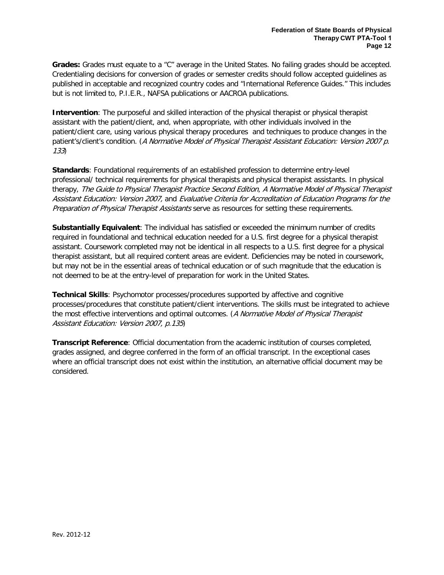**Grades:** Grades must equate to a "C" average in the United States. No failing grades should be accepted. Credentialing decisions for conversion of grades or semester credits should follow accepted guidelines as published in acceptable and recognized country codes and "International Reference Guides." This includes but is not limited to, P.I.E.R., NAFSA publications or AACROA publications.

**Intervention**: The purposeful and skilled interaction of the physical therapist or physical therapist assistant with the patient/client, and, when appropriate, with other individuals involved in the patient/client care, using various physical therapy procedures and techniques to produce changes in the patient's/client's condition. (A Normative Model of Physical Therapist Assistant Education: Version 2007 p. 133)

**Standards**: Foundational requirements of an established profession to determine entry-level professional/ technical requirements for physical therapists and physical therapist assistants. In physical therapy, The Guide to Physical Therapist Practice Second Edition, A Normative Model of Physical Therapist Assistant Education: Version 2007, and Evaluative Criteria for Accreditation of Education Programs for the Preparation of Physical Therapist Assistants serve as resources for setting these requirements.

**Substantially Equivalent**: The individual has satisfied or exceeded the minimum number of credits required in foundational and technical education needed for a U.S. first degree for a physical therapist assistant. Coursework completed may not be identical in all respects to a U.S. first degree for a physical therapist assistant, but all required content areas are evident. Deficiencies may be noted in coursework, but may not be in the essential areas of technical education or of such magnitude that the education is not deemed to be at the entry-level of preparation for work in the United States.

**Technical Skills**: Psychomotor processes/procedures supported by affective and cognitive processes/procedures that constitute patient/client interventions. The skills must be integrated to achieve the most effective interventions and optimal outcomes. (A Normative Model of Physical Therapist Assistant Education: Version 2007, p.135)

**Transcript Reference**: Official documentation from the academic institution of courses completed, grades assigned, and degree conferred in the form of an official transcript. In the exceptional cases where an official transcript does not exist within the institution, an alternative official document may be considered.